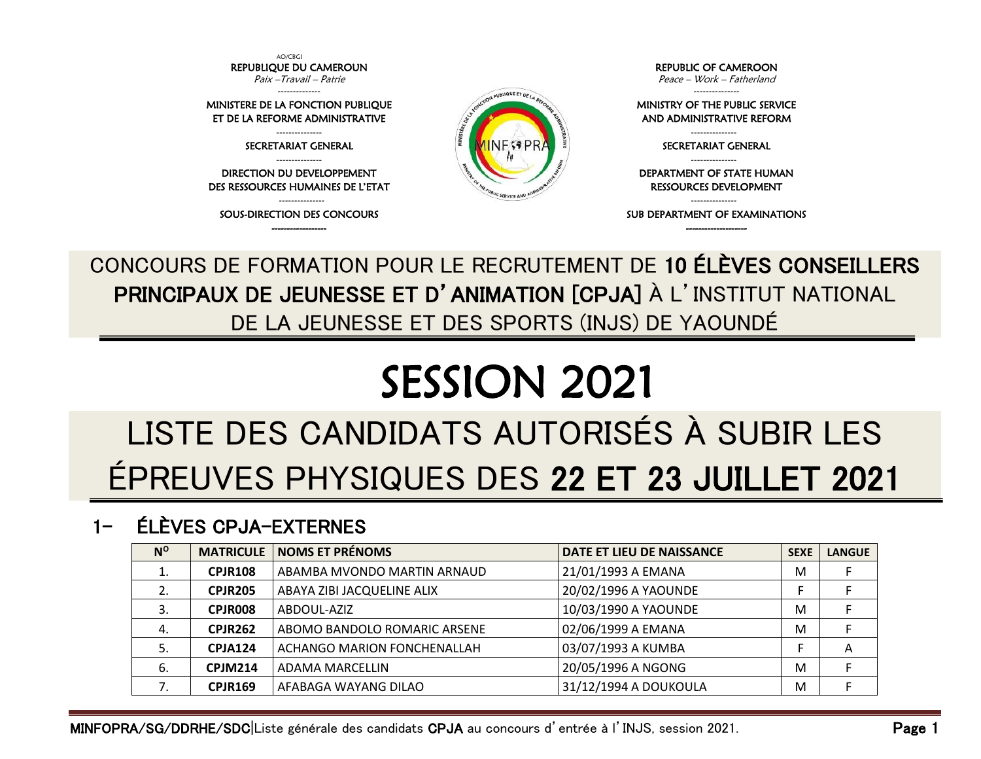

CONCOURS DE FORMATION POUR LE RECRUTEMENT DE 10 ÉLÈVES CONSEILLERS PRINCIPAUX DE JEUNESSE ET D'ANIMATION [CPJA] À L'INSTITUT NATIONAL DE LA JEUNESSE ET DES SPORTS (INJS) DE YAOUNDÉ

## SESSION 2021

## LISTE DES CANDIDATS AUTORISÉS À SUBIR LES ÉPREUVES PHYSIQUES DES 22 ET 23 JUILLET 2021

## 1- ÉLÈVES CPJA-EXTERNES

| $N^{\rm o}$ | <b>MATRICULE</b> | <b>NOMS ET PRÉNOMS</b>       | DATE ET LIEU DE NAISSANCE | <b>SEXE</b> | <b>LANGUE</b> |
|-------------|------------------|------------------------------|---------------------------|-------------|---------------|
| ⊥.          | <b>CPJR108</b>   | ABAMBA MVONDO MARTIN ARNAUD  | 21/01/1993 A EMANA        | M           |               |
|             | <b>CPJR205</b>   | ABAYA ZIBI JACQUELINE ALIX   | 20/02/1996 A YAOUNDE      |             |               |
| 3.          | CPJR008          | ABDOUL-AZIZ                  | 10/03/1990 A YAOUNDE      | M           |               |
| 4.          | <b>CPJR262</b>   | ABOMO BANDOLO ROMARIC ARSENE | 02/06/1999 A EMANA        | M           |               |
| 5.          | <b>CPJA124</b>   | ACHANGO MARION FONCHENALLAH  | 03/07/1993 A KUMBA        |             | Α             |
| - 6.        | <b>CPJM214</b>   | ADAMA MARCELLIN              | 20/05/1996 A NGONG        | M           |               |
|             | <b>CPJR169</b>   | AFABAGA WAYANG DILAO         | 31/12/1994 A DOUKOULA     | M           |               |

MINFOPRA/SG/DDRHE/SDC|Liste générale des candidats CPJA au concours d'entrée à l'INJS, session 2021. Page 1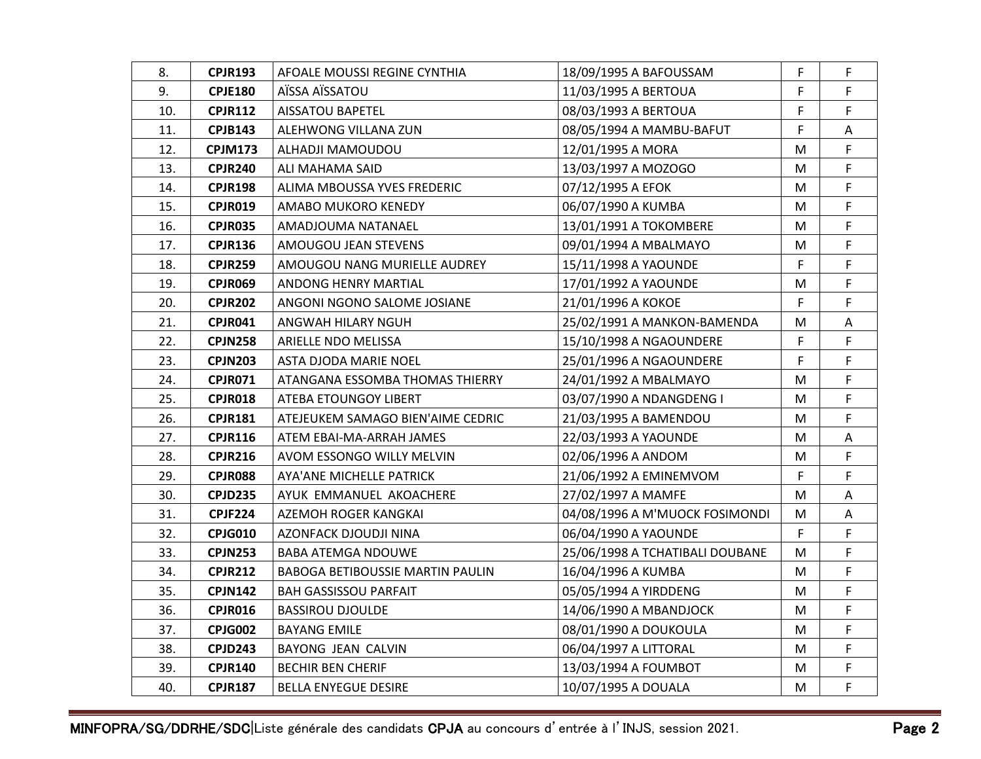| 8.  | CPJR193        | AFOALE MOUSSI REGINE CYNTHIA      | 18/09/1995 A BAFOUSSAM          | F  | F  |
|-----|----------------|-----------------------------------|---------------------------------|----|----|
| 9.  | <b>CPJE180</b> | AÏSSA AÏSSATOU                    | 11/03/1995 A BERTOUA            | F  | F. |
| 10. | <b>CPJR112</b> | AISSATOU BAPETEL                  | 08/03/1993 A BERTOUA            | F. | F. |
| 11. | <b>CPJB143</b> | ALEHWONG VILLANA ZUN              | 08/05/1994 A MAMBU-BAFUT        | F  | A  |
| 12. | <b>CPJM173</b> | ALHADJI MAMOUDOU                  | 12/01/1995 A MORA               | M  | F. |
| 13. | <b>CPJR240</b> | ALI MAHAMA SAID                   | 13/03/1997 A MOZOGO             | М  | F  |
| 14. | <b>CPJR198</b> | ALIMA MBOUSSA YVES FREDERIC       | 07/12/1995 A EFOK               | М  | F  |
| 15. | <b>CPJR019</b> | AMABO MUKORO KENEDY               | 06/07/1990 A KUMBA              | М  | F  |
| 16. | <b>CPJR035</b> | AMADJOUMA NATANAEL                | 13/01/1991 A TOKOMBERE          | М  | F. |
| 17. | <b>CPJR136</b> | AMOUGOU JEAN STEVENS              | 09/01/1994 A MBALMAYO           | M  | F  |
| 18. | <b>CPJR259</b> | AMOUGOU NANG MURIELLE AUDREY      | 15/11/1998 A YAOUNDE            | F  | F  |
| 19. | <b>CPJR069</b> | ANDONG HENRY MARTIAL              | 17/01/1992 A YAOUNDE            | М  | F  |
| 20. | <b>CPJR202</b> | ANGONI NGONO SALOME JOSIANE       | 21/01/1996 A KOKOE              | F  | F  |
| 21. | <b>CPJR041</b> | ANGWAH HILARY NGUH                | 25/02/1991 A MANKON-BAMENDA     | М  | A  |
| 22. | <b>CPJN258</b> | ARIELLE NDO MELISSA               | 15/10/1998 A NGAOUNDERE         | F  | F  |
| 23. | <b>CPJN203</b> | ASTA DJODA MARIE NOEL             | 25/01/1996 A NGAOUNDERE         | F  | F  |
| 24. | <b>CPJR071</b> | ATANGANA ESSOMBA THOMAS THIERRY   | 24/01/1992 A MBALMAYO           | М  | F  |
| 25. | <b>CPJR018</b> | ATEBA ETOUNGOY LIBERT             | 03/07/1990 A NDANGDENG I        | м  | F. |
| 26. | <b>CPJR181</b> | ATEJEUKEM SAMAGO BIEN'AIME CEDRIC | 21/03/1995 A BAMENDOU           | М  | F  |
| 27. | <b>CPJR116</b> | ATEM EBAI-MA-ARRAH JAMES          | 22/03/1993 A YAOUNDE            | М  | Α  |
| 28. | <b>CPJR216</b> | AVOM ESSONGO WILLY MELVIN         | 02/06/1996 A ANDOM              | М  | F  |
| 29. | <b>CPJR088</b> | AYA'ANE MICHELLE PATRICK          | 21/06/1992 A EMINEMVOM          | F  | F  |
| 30. | <b>CPJD235</b> | AYUK EMMANUEL AKOACHERE           | 27/02/1997 A MAMFE              | М  | A  |
| 31. | <b>CPJF224</b> | AZEMOH ROGER KANGKAI              | 04/08/1996 A M'MUOCK FOSIMONDI  | М  | A  |
| 32. | <b>CPJG010</b> | AZONFACK DJOUDJI NINA             | 06/04/1990 A YAOUNDE            | F  | F  |
| 33. | <b>CPJN253</b> | <b>BABA ATEMGA NDOUWE</b>         | 25/06/1998 A TCHATIBALI DOUBANE | М  | F  |
| 34. | <b>CPJR212</b> | BABOGA BETIBOUSSIE MARTIN PAULIN  | 16/04/1996 A KUMBA              | М  | F  |
| 35. | <b>CPJN142</b> | <b>BAH GASSISSOU PARFAIT</b>      | 05/05/1994 A YIRDDENG           | М  | F  |
| 36. | <b>CPJR016</b> | <b>BASSIROU DJOULDE</b>           | 14/06/1990 A MBANDJOCK          | М  | F. |
| 37. | <b>CPJG002</b> | <b>BAYANG EMILE</b>               | 08/01/1990 A DOUKOULA           | М  | F  |
| 38. | <b>CPJD243</b> | BAYONG JEAN CALVIN                | 06/04/1997 A LITTORAL           | M  | F  |
| 39. | <b>CPJR140</b> | <b>BECHIR BEN CHERIF</b>          | 13/03/1994 A FOUMBOT            | M  | F. |
| 40. | <b>CPJR187</b> | <b>BELLA ENYEGUE DESIRE</b>       | 10/07/1995 A DOUALA             | M  | F  |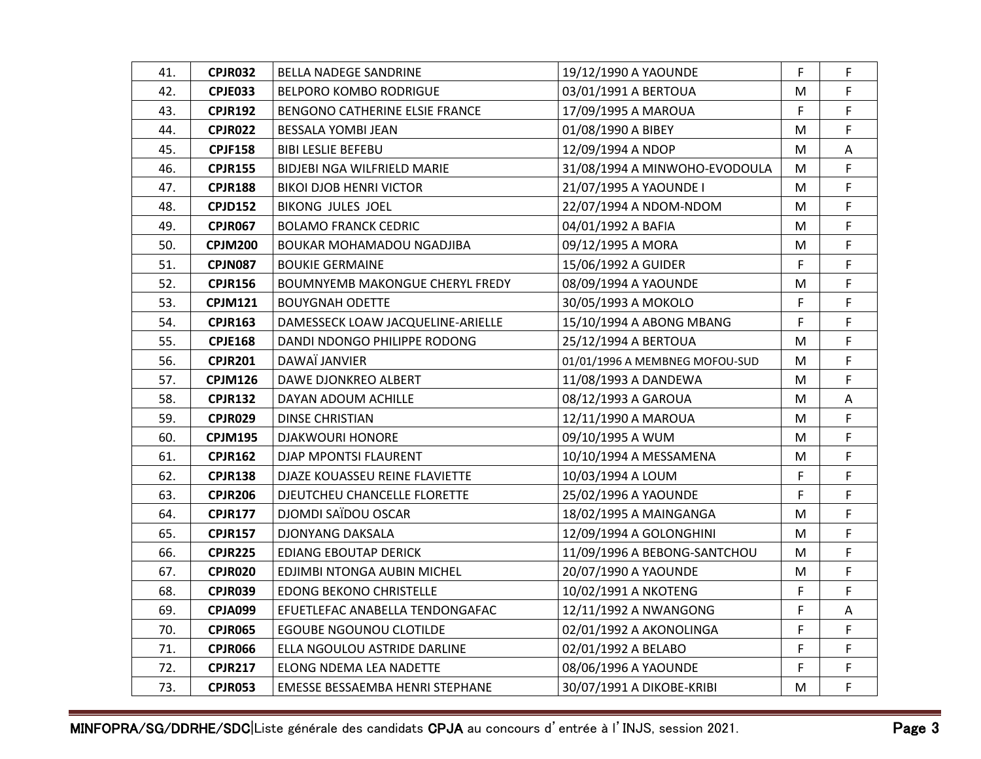| 41. | <b>CPJR032</b> | <b>BELLA NADEGE SANDRINE</b>           | 19/12/1990 A YAOUNDE           | F. | F  |
|-----|----------------|----------------------------------------|--------------------------------|----|----|
| 42. | <b>CPJE033</b> | <b>BELPORO KOMBO RODRIGUE</b>          | 03/01/1991 A BERTOUA           | М  | F. |
| 43. | <b>CPJR192</b> | BENGONO CATHERINE ELSIE FRANCE         | 17/09/1995 A MAROUA            | F. | F  |
| 44. | <b>CPJR022</b> | BESSALA YOMBI JEAN                     | 01/08/1990 A BIBEY             | м  | F  |
| 45. | <b>CPJF158</b> | <b>BIBI LESLIE BEFEBU</b>              | 12/09/1994 A NDOP              | М  | A  |
| 46. | <b>CPJR155</b> | <b>BIDJEBI NGA WILFRIELD MARIE</b>     | 31/08/1994 A MINWOHO-EVODOULA  | М  | F  |
| 47. | <b>CPJR188</b> | <b>BIKOI DJOB HENRI VICTOR</b>         | 21/07/1995 A YAOUNDE I         | М  | F  |
| 48. | <b>CPJD152</b> | <b>BIKONG JULES JOEL</b>               | 22/07/1994 A NDOM-NDOM         | м  | F  |
| 49. | <b>CPJR067</b> | <b>BOLAMO FRANCK CEDRIC</b>            | 04/01/1992 A BAFIA             | M  | F  |
| 50. | <b>CPJM200</b> | BOUKAR MOHAMADOU NGADJIBA              | 09/12/1995 A MORA              | M  | F. |
| 51. | <b>CPJN087</b> | <b>BOUKIE GERMAINE</b>                 | 15/06/1992 A GUIDER            | F. | F  |
| 52. | <b>CPJR156</b> | <b>BOUMNYEMB MAKONGUE CHERYL FREDY</b> | 08/09/1994 A YAOUNDE           | м  | F  |
| 53. | <b>CPJM121</b> | <b>BOUYGNAH ODETTE</b>                 | 30/05/1993 A MOKOLO            | F  | F. |
| 54. | <b>CPJR163</b> | DAMESSECK LOAW JACQUELINE-ARIELLE      | 15/10/1994 A ABONG MBANG       | F  | F  |
| 55. | <b>CPJE168</b> | DANDI NDONGO PHILIPPE RODONG           | 25/12/1994 A BERTOUA           | М  | F  |
| 56. | <b>CPJR201</b> | DAWAÏ JANVIER                          | 01/01/1996 A MEMBNEG MOFOU-SUD | М  | F  |
| 57. | <b>CPJM126</b> | DAWE DJONKREO ALBERT                   | 11/08/1993 A DANDEWA           | M  | F. |
| 58. | <b>CPJR132</b> | DAYAN ADOUM ACHILLE                    | 08/12/1993 A GAROUA            | м  | A  |
| 59. | <b>CPJR029</b> | <b>DINSE CHRISTIAN</b>                 | 12/11/1990 A MAROUA            | M  | F  |
| 60. | <b>CPJM195</b> | <b>DJAKWOURI HONORE</b>                | 09/10/1995 A WUM               | М  | F  |
| 61. | <b>CPJR162</b> | DJAP MPONTSI FLAURENT                  | 10/10/1994 A MESSAMENA         | M  | F  |
| 62. | <b>CPJR138</b> | DJAZE KOUASSEU REINE FLAVIETTE         | 10/03/1994 A LOUM              | F  | F  |
| 63. | <b>CPJR206</b> | DJEUTCHEU CHANCELLE FLORETTE           | 25/02/1996 A YAOUNDE           | F  | F  |
| 64. | <b>CPJR177</b> | DJOMDI SAÏDOU OSCAR                    | 18/02/1995 A MAINGANGA         | м  | F. |
| 65. | <b>CPJR157</b> | <b>DJONYANG DAKSALA</b>                | 12/09/1994 A GOLONGHINI        | M  | F  |
| 66. | <b>CPJR225</b> | EDIANG EBOUTAP DERICK                  | 11/09/1996 A BEBONG-SANTCHOU   | М  | F  |
| 67. | <b>CPJR020</b> | EDJIMBI NTONGA AUBIN MICHEL            | 20/07/1990 A YAOUNDE           | М  | F  |
| 68. | CPJR039        | <b>EDONG BEKONO CHRISTELLE</b>         | 10/02/1991 A NKOTENG           | F  | F  |
| 69. | <b>CPJA099</b> | EFUETLEFAC ANABELLA TENDONGAFAC        | 12/11/1992 A NWANGONG          | F  | A  |
| 70. | <b>CPJR065</b> | EGOUBE NGOUNOU CLOTILDE                | 02/01/1992 A AKONOLINGA        | F  | F  |
| 71. | <b>CPJR066</b> | ELLA NGOULOU ASTRIDE DARLINE           | 02/01/1992 A BELABO            | F  | F  |
| 72. | <b>CPJR217</b> | ELONG NDEMA LEA NADETTE                | 08/06/1996 A YAOUNDE           | F  | F  |
| 73. | <b>CPJR053</b> | EMESSE BESSAEMBA HENRI STEPHANE        | 30/07/1991 A DIKOBE-KRIBI      | M  | F  |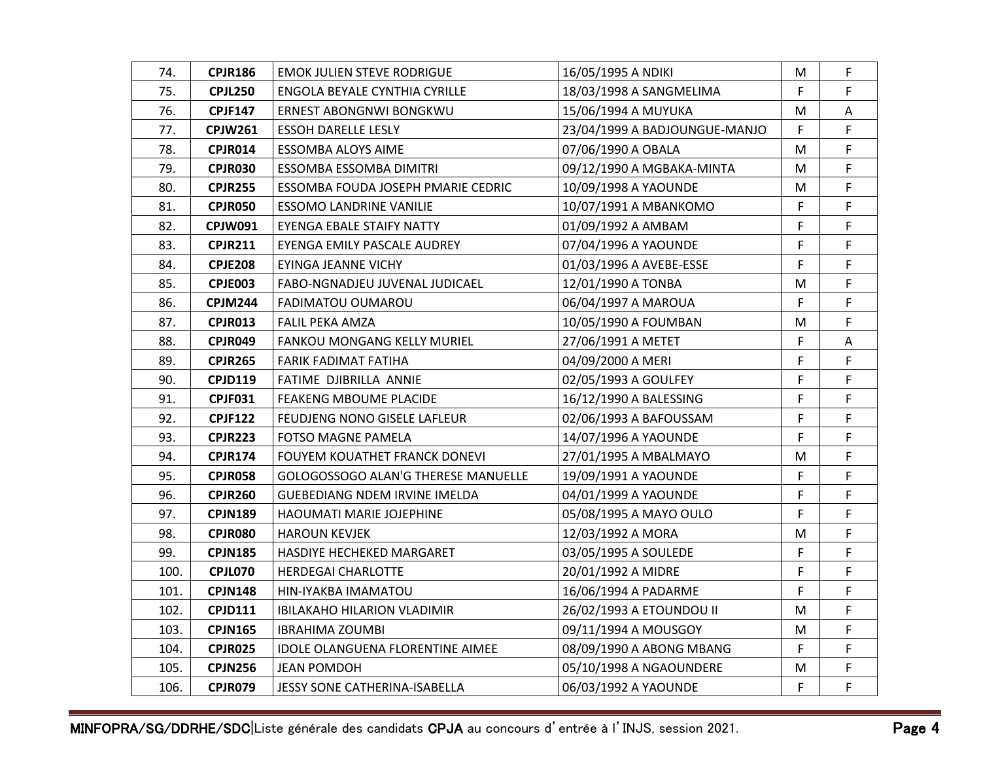| 74.  | <b>CPJR186</b> | <b>EMOK JULIEN STEVE RODRIGUE</b>       | 16/05/1995 A NDIKI            | M  | F.           |
|------|----------------|-----------------------------------------|-------------------------------|----|--------------|
| 75.  | <b>CPJL250</b> | ENGOLA BEYALE CYNTHIA CYRILLE           | 18/03/1998 A SANGMELIMA       | F  | F            |
| 76.  | <b>CPJF147</b> | ERNEST ABONGNWI BONGKWU                 | 15/06/1994 A MUYUKA           | M  | A            |
| 77.  | CPJW261        | <b>ESSOH DARELLE LESLY</b>              | 23/04/1999 A BADJOUNGUE-MANJO | F  | F            |
| 78.  | CPJR014        | <b>ESSOMBA ALOYS AIME</b>               | 07/06/1990 A OBALA            | M  | F.           |
| 79.  | <b>CPJR030</b> | ESSOMBA ESSOMBA DIMITRI                 | 09/12/1990 A MGBAKA-MINTA     | M  | F            |
| 80.  | <b>CPJR255</b> | ESSOMBA FOUDA JOSEPH PMARIE CEDRIC      | 10/09/1998 A YAOUNDE          | М  | F.           |
| 81.  | <b>CPJR050</b> | ESSOMO LANDRINE VANILIE                 | 10/07/1991 A MBANKOMO         | F  | F            |
| 82.  | <b>CPJW091</b> | EYENGA EBALE STAIFY NATTY               | 01/09/1992 A AMBAM            | F  | F            |
| 83.  | <b>CPJR211</b> | EYENGA EMILY PASCALE AUDREY             | 07/04/1996 A YAOUNDE          | F  | F.           |
| 84.  | <b>CPJE208</b> | EYINGA JEANNE VICHY                     | 01/03/1996 A AVEBE-ESSE       | F  | F            |
| 85.  | CPJE003        | FABO-NGNADJEU JUVENAL JUDICAEL          | 12/01/1990 A TONBA            | M  | F            |
| 86.  | <b>CPJM244</b> | FADIMATOU OUMAROU                       | 06/04/1997 A MAROUA           | F  | F            |
| 87.  | CPJR013        | FALIL PEKA AMZA                         | 10/05/1990 A FOUMBAN          | M  | F.           |
| 88.  | CPJR049        | FANKOU MONGANG KELLY MURIEL             | 27/06/1991 A METET            | F  | A            |
| 89.  | <b>CPJR265</b> | FARIK FADIMAT FATIHA                    | 04/09/2000 A MERI             | F  | F            |
| 90.  | <b>CPJD119</b> | FATIME DJIBRILLA ANNIE                  | 02/05/1993 A GOULFEY          | F  | $\mathsf F$  |
| 91.  | <b>CPJF031</b> | FEAKENG MBOUME PLACIDE                  | 16/12/1990 A BALESSING        | F  | F            |
| 92.  | <b>CPJF122</b> | FEUDJENG NONO GISELE LAFLEUR            | 02/06/1993 A BAFOUSSAM        | F  | F            |
| 93.  | CPJR223        | FOTSO MAGNE PAMELA                      | 14/07/1996 A YAOUNDE          | F  | F            |
| 94.  | <b>CPJR174</b> | FOUYEM KOUATHET FRANCK DONEVI           | 27/01/1995 A MBALMAYO         | M  | $\mathsf F$  |
| 95.  | CPJR058        | GOLOGOSSOGO ALAN'G THERESE MANUELLE     | 19/09/1991 A YAOUNDE          | F. | F            |
| 96.  | <b>CPJR260</b> | <b>GUEBEDIANG NDEM IRVINE IMELDA</b>    | 04/01/1999 A YAOUNDE          | F  | F.           |
| 97.  | <b>CPJN189</b> | HAOUMATI MARIE JOJEPHINE                | 05/08/1995 A MAYO OULO        | F  | F            |
| 98.  | CPJR080        | <b>HAROUN KEVJEK</b>                    | 12/03/1992 A MORA             | M  | $\mathsf{F}$ |
| 99.  | <b>CPJN185</b> | HASDIYE HECHEKED MARGARET               | 03/05/1995 A SOULEDE          | F. | F            |
| 100. | CPJL070        | <b>HERDEGAI CHARLOTTE</b>               | 20/01/1992 A MIDRE            | F  | F            |
| 101. | <b>CPJN148</b> | HIN-IYAKBA IMAMATOU                     | 16/06/1994 A PADARME          | F  | F            |
| 102. | <b>CPJD111</b> | <b>IBILAKAHO HILARION VLADIMIR</b>      | 26/02/1993 A ETOUNDOU II      | M  | F            |
| 103. | <b>CPJN165</b> | IBRAHIMA ZOUMBI                         | 09/11/1994 A MOUSGOY          | M  | F            |
| 104. | <b>CPJR025</b> | <b>IDOLE OLANGUENA FLORENTINE AIMEE</b> | 08/09/1990 A ABONG MBANG      | F  | F            |
| 105. | <b>CPJN256</b> | <b>JEAN POMDOH</b>                      | 05/10/1998 A NGAOUNDERE       | М  | F            |
| 106. | <b>CPJR079</b> | JESSY SONE CATHERINA-ISABELLA           | 06/03/1992 A YAOUNDE          | F. | $\mathsf F$  |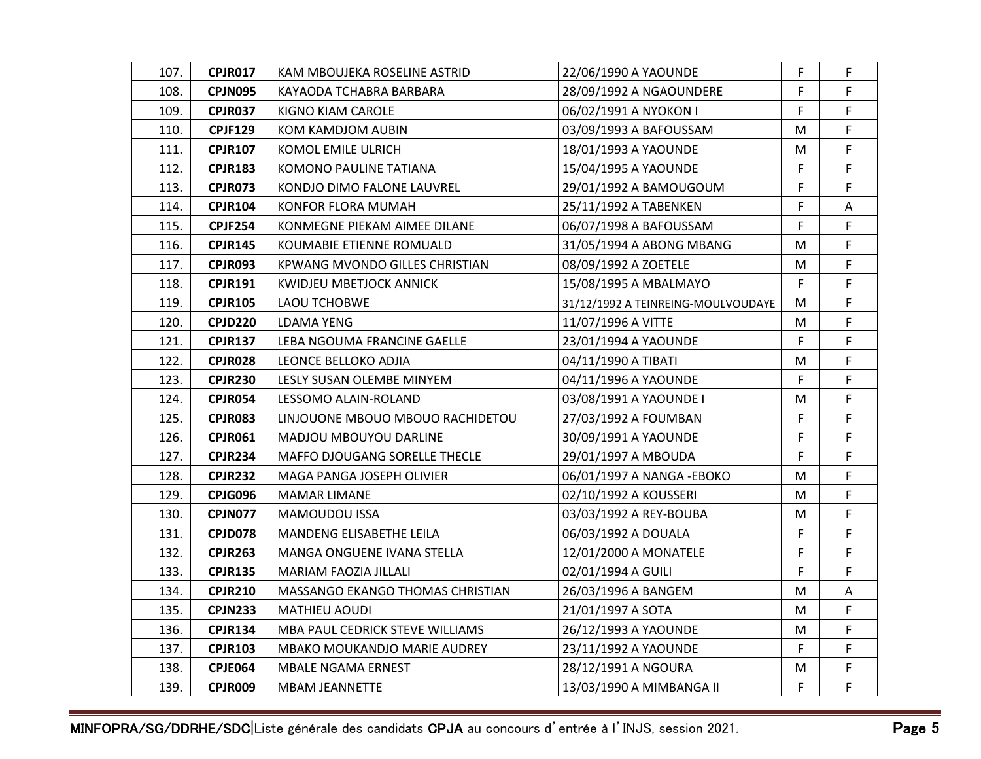| 107. | CPJR017        | KAM MBOUJEKA ROSELINE ASTRID     | 22/06/1990 A YAOUNDE               | F  | F  |
|------|----------------|----------------------------------|------------------------------------|----|----|
| 108. | <b>CPJN095</b> | KAYAODA TCHABRA BARBARA          | 28/09/1992 A NGAOUNDERE            | F  | F. |
| 109. | <b>CPJR037</b> | KIGNO KIAM CAROLE                | 06/02/1991 A NYOKON I              | F. | F. |
| 110. | <b>CPJF129</b> | KOM KAMDJOM AUBIN                | 03/09/1993 A BAFOUSSAM             | м  | F  |
| 111. | <b>CPJR107</b> | KOMOL EMILE ULRICH               | 18/01/1993 A YAOUNDE               | М  | F. |
| 112. | <b>CPJR183</b> | KOMONO PAULINE TATIANA           | 15/04/1995 A YAOUNDE               | F  | F  |
| 113. | CPJR073        | KONDJO DIMO FALONE LAUVREL       | 29/01/1992 A BAMOUGOUM             | F  | F. |
| 114. | <b>CPJR104</b> | KONFOR FLORA MUMAH               | 25/11/1992 A TABENKEN              | F. | Α  |
| 115. | <b>CPJF254</b> | KONMEGNE PIEKAM AIMEE DILANE     | 06/07/1998 A BAFOUSSAM             | F  | F. |
| 116. | <b>CPJR145</b> | KOUMABIE ETIENNE ROMUALD         | 31/05/1994 A ABONG MBANG           | М  | F. |
| 117. | <b>CPJR093</b> | KPWANG MVONDO GILLES CHRISTIAN   | 08/09/1992 A ZOETELE               | М  | F. |
| 118. | <b>CPJR191</b> | KWIDJEU MBETJOCK ANNICK          | 15/08/1995 A MBALMAYO              | F. | F  |
| 119. | <b>CPJR105</b> | LAOU TCHOBWE                     | 31/12/1992 A TEINREING-MOULVOUDAYE | М  | F  |
| 120. | <b>CPJD220</b> | LDAMA YENG                       | 11/07/1996 A VITTE                 | М  | F  |
| 121. | <b>CPJR137</b> | LEBA NGOUMA FRANCINE GAELLE      | 23/01/1994 A YAOUNDE               | F  | F  |
| 122. | <b>CPJR028</b> | LEONCE BELLOKO ADJIA             | 04/11/1990 A TIBATI                | м  | F  |
| 123. | CPJR230        | LESLY SUSAN OLEMBE MINYEM        | 04/11/1996 A YAOUNDE               | F. | F  |
| 124. | <b>CPJR054</b> | LESSOMO ALAIN-ROLAND             | 03/08/1991 A YAOUNDE I             | М  | F  |
| 125. | CPJR083        | LINJOUONE MBOUO MBOUO RACHIDETOU | 27/03/1992 A FOUMBAN               | F  | F  |
| 126. | CPJR061        | MADJOU MBOUYOU DARLINE           | 30/09/1991 A YAOUNDE               | F  | F  |
| 127. | CPJR234        | MAFFO DJOUGANG SORELLE THECLE    | 29/01/1997 A MBOUDA                | F  | F  |
| 128. | <b>CPJR232</b> | MAGA PANGA JOSEPH OLIVIER        | 06/01/1997 A NANGA - EBOKO         | M  | F  |
| 129. | CPJG096        | <b>MAMAR LIMANE</b>              | 02/10/1992 A KOUSSERI              | М  | F  |
| 130. | CPJN077        | <b>MAMOUDOU ISSA</b>             | 03/03/1992 A REY-BOUBA             | M  | F  |
| 131. | CPJD078        | <b>MANDENG ELISABETHE LEILA</b>  | 06/03/1992 A DOUALA                | F  | F  |
| 132. | <b>CPJR263</b> | MANGA ONGUENE IVANA STELLA       | 12/01/2000 A MONATELE              | F  | F. |
| 133. | <b>CPJR135</b> | MARIAM FAOZIA JILLALI            | 02/01/1994 A GUILI                 | F. | F  |
| 134. | <b>CPJR210</b> | MASSANGO EKANGO THOMAS CHRISTIAN | 26/03/1996 A BANGEM                | М  | A  |
| 135. | <b>CPJN233</b> | MATHIEU AOUDI                    | 21/01/1997 A SOTA                  | М  | F  |
| 136. | <b>CPJR134</b> | MBA PAUL CEDRICK STEVE WILLIAMS  | 26/12/1993 A YAOUNDE               | М  | F  |
| 137. | <b>CPJR103</b> | MBAKO MOUKANDJO MARIE AUDREY     | 23/11/1992 A YAOUNDE               | F  | F  |
| 138. | <b>CPJE064</b> | MBALE NGAMA ERNEST               | 28/12/1991 A NGOURA                | M  | F. |
| 139. | <b>CPJR009</b> | <b>MBAM JEANNETTE</b>            | 13/03/1990 A MIMBANGA II           | F  | F  |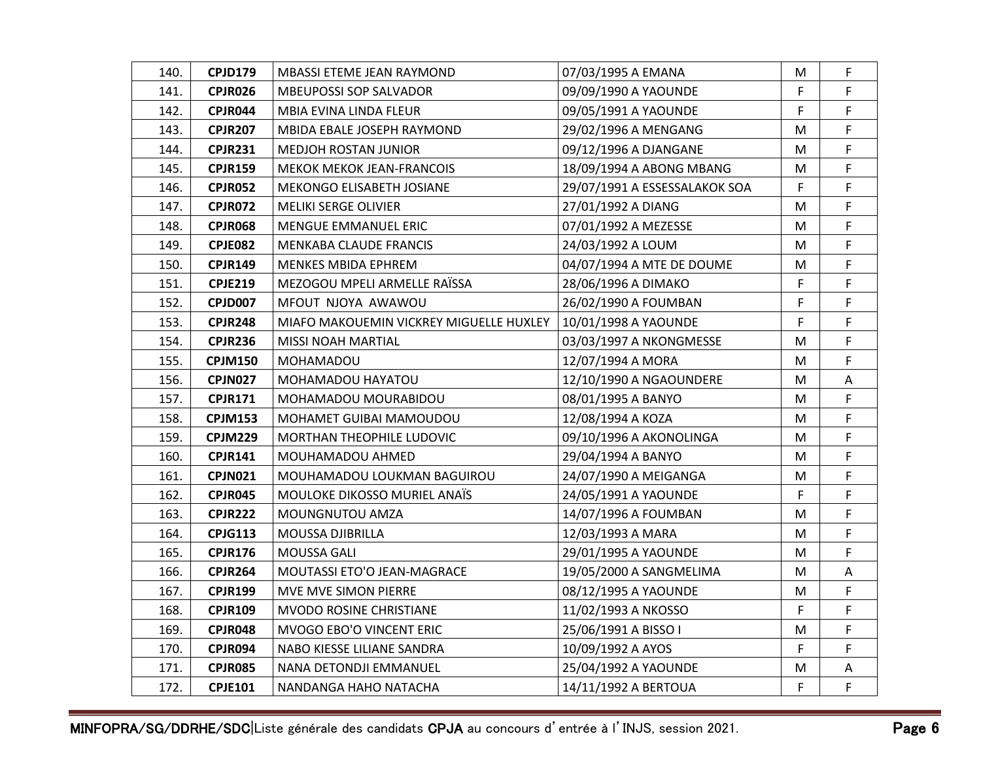| 140. | <b>CPJD179</b> | MBASSI ETEME JEAN RAYMOND               | 07/03/1995 A EMANA            | M  | F. |
|------|----------------|-----------------------------------------|-------------------------------|----|----|
| 141. | <b>CPJR026</b> | <b>MBEUPOSSI SOP SALVADOR</b>           | 09/09/1990 A YAOUNDE          | F. | F. |
| 142. | CPJR044        | MBIA EVINA LINDA FLEUR                  | 09/05/1991 A YAOUNDE          | F. | F. |
| 143. | <b>CPJR207</b> | MBIDA EBALE JOSEPH RAYMOND              | 29/02/1996 A MENGANG          | M  | F  |
| 144. | <b>CPJR231</b> | <b>MEDJOH ROSTAN JUNIOR</b>             | 09/12/1996 A DJANGANE         | M  | F  |
| 145. | <b>CPJR159</b> | MEKOK MEKOK JEAN-FRANCOIS               | 18/09/1994 A ABONG MBANG      | M  | F  |
| 146. | <b>CPJR052</b> | MEKONGO ELISABETH JOSIANE               | 29/07/1991 A ESSESSALAKOK SOA | F  | F. |
| 147. | CPJR072        | <b>MELIKI SERGE OLIVIER</b>             | 27/01/1992 A DIANG            | M  | F  |
| 148. | <b>CPJR068</b> | <b>MENGUE EMMANUEL ERIC</b>             | 07/01/1992 A MEZESSE          | M  | F  |
| 149. | <b>CPJE082</b> | MENKABA CLAUDE FRANCIS                  | 24/03/1992 A LOUM             | M  | F  |
| 150. | <b>CPJR149</b> | MENKES MBIDA EPHREM                     | 04/07/1994 A MTE DE DOUME     | M  | F  |
| 151. | <b>CPJE219</b> | MEZOGOU MPELI ARMELLE RAÏSSA            | 28/06/1996 A DIMAKO           | F  | F  |
| 152. | <b>CPJD007</b> | MFOUT NJOYA AWAWOU                      | 26/02/1990 A FOUMBAN          | F. | F  |
| 153. | <b>CPJR248</b> | MIAFO MAKOUEMIN VICKREY MIGUELLE HUXLEY | 10/01/1998 A YAOUNDE          | F  | F  |
| 154. | <b>CPJR236</b> | <b>MISSI NOAH MARTIAL</b>               | 03/03/1997 A NKONGMESSE       | M  | F  |
| 155. | <b>CPJM150</b> | MOHAMADOU                               | 12/07/1994 A MORA             | M  | F  |
| 156. | CPJN027        | MOHAMADOU HAYATOU                       | 12/10/1990 A NGAOUNDERE       | M  | A  |
| 157. | <b>CPJR171</b> | MOHAMADOU MOURABIDOU                    | 08/01/1995 A BANYO            | M  | F  |
| 158. | <b>CPJM153</b> | MOHAMET GUIBAI MAMOUDOU                 | 12/08/1994 A KOZA             | M  | F  |
| 159. | <b>CPJM229</b> | <b>MORTHAN THEOPHILE LUDOVIC</b>        | 09/10/1996 A AKONOLINGA       | М  | F  |
| 160. | <b>CPJR141</b> | MOUHAMADOU AHMED                        | 29/04/1994 A BANYO            | M  | F  |
| 161. | <b>CPJN021</b> | MOUHAMADOU LOUKMAN BAGUIROU             | 24/07/1990 A MEIGANGA         | M  | F  |
| 162. | <b>CPJR045</b> | <b>MOULOKE DIKOSSO MURIEL ANAIS</b>     | 24/05/1991 A YAOUNDE          | F  | F  |
| 163. | <b>CPJR222</b> | MOUNGNUTOU AMZA                         | 14/07/1996 A FOUMBAN          | M  | F. |
| 164. | <b>CPJG113</b> | MOUSSA DJIBRILLA                        | 12/03/1993 A MARA             | M  | F  |
| 165. | <b>CPJR176</b> | MOUSSA GALI                             | 29/01/1995 A YAOUNDE          | M  | F  |
| 166. | <b>CPJR264</b> | MOUTASSI ETO'O JEAN-MAGRACE             | 19/05/2000 A SANGMELIMA       | M  | Α  |
| 167. | <b>CPJR199</b> | MVE MVE SIMON PIERRE                    | 08/12/1995 A YAOUNDE          | M  | F  |
| 168. | <b>CPJR109</b> | MVODO ROSINE CHRISTIANE                 | 11/02/1993 A NKOSSO           | F  | F  |
| 169. | CPJR048        | MVOGO EBO'O VINCENT ERIC                | 25/06/1991 A BISSO I          | M  | F. |
| 170. | CPJR094        | NABO KIESSE LILIANE SANDRA              | 10/09/1992 A AYOS             | F  | F  |
| 171. | <b>CPJR085</b> | NANA DETONDJI EMMANUEL                  | 25/04/1992 A YAOUNDE          | M  | A  |
| 172. | <b>CPJE101</b> | NANDANGA HAHO NATACHA                   | 14/11/1992 A BERTOUA          | F  | F  |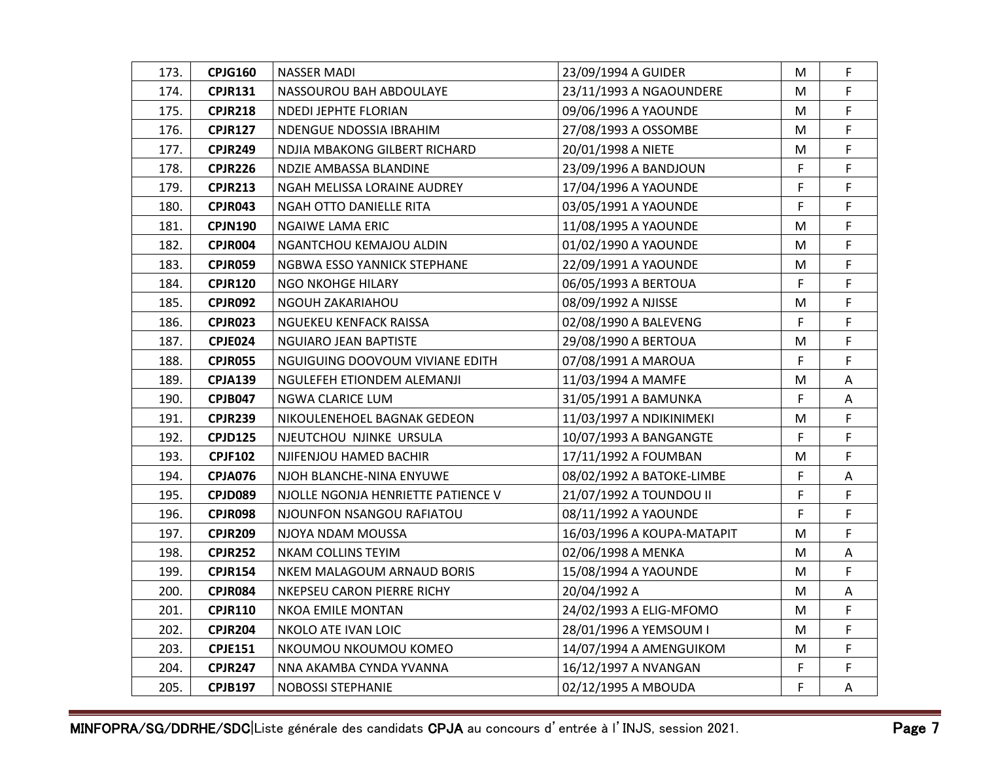| 173. | <b>CPJG160</b> | NASSER MADI                        | 23/09/1994 A GUIDER        | M  | F  |
|------|----------------|------------------------------------|----------------------------|----|----|
| 174. | <b>CPJR131</b> | NASSOUROU BAH ABDOULAYE            | 23/11/1993 A NGAOUNDERE    | M  | F  |
| 175. | <b>CPJR218</b> | <b>NDEDI JEPHTE FLORIAN</b>        | 09/06/1996 A YAOUNDE       | M  | F  |
| 176. | <b>CPJR127</b> | NDENGUE NDOSSIA IBRAHIM            | 27/08/1993 A OSSOMBE       | M  | F  |
| 177. | <b>CPJR249</b> | NDJIA MBAKONG GILBERT RICHARD      | 20/01/1998 A NIETE         | M  | F  |
| 178. | <b>CPJR226</b> | NDZIE AMBASSA BLANDINE             | 23/09/1996 A BANDJOUN      | F. | F  |
| 179. | <b>CPJR213</b> | NGAH MELISSA LORAINE AUDREY        | 17/04/1996 A YAOUNDE       | F  | F  |
| 180. | <b>CPJR043</b> | NGAH OTTO DANIELLE RITA            | 03/05/1991 A YAOUNDE       | F  | F  |
| 181. | <b>CPJN190</b> | NGAIWE LAMA ERIC                   | 11/08/1995 A YAOUNDE       | M  | F. |
| 182. | CPJR004        | NGANTCHOU KEMAJOU ALDIN            | 01/02/1990 A YAOUNDE       | M  | F  |
| 183. | CPJR059        | NGBWA ESSO YANNICK STEPHANE        | 22/09/1991 A YAOUNDE       | M  | F. |
| 184. | <b>CPJR120</b> | NGO NKOHGE HILARY                  | 06/05/1993 A BERTOUA       | F  | F  |
| 185. | <b>CPJR092</b> | NGOUH ZAKARIAHOU                   | 08/09/1992 A NJISSE        | M  | F  |
| 186. | CPJR023        | NGUEKEU KENFACK RAISSA             | 02/08/1990 A BALEVENG      | F  | F  |
| 187. | CPJE024        | <b>NGUIARO JEAN BAPTISTE</b>       | 29/08/1990 A BERTOUA       | M  | F  |
| 188. | <b>CPJR055</b> | NGUIGUING DOOVOUM VIVIANE EDITH    | 07/08/1991 A MAROUA        | F  | F  |
| 189. | <b>CPJA139</b> | NGULEFEH ETIONDEM ALEMANJI         | 11/03/1994 A MAMFE         | M  | Α  |
| 190. | <b>CPJB047</b> | NGWA CLARICE LUM                   | 31/05/1991 A BAMUNKA       | F. | A  |
| 191. | <b>CPJR239</b> | NIKOULENEHOEL BAGNAK GEDEON        | 11/03/1997 A NDIKINIMEKI   | M  | F  |
| 192. | <b>CPJD125</b> | NJEUTCHOU NJINKE URSULA            | 10/07/1993 A BANGANGTE     | F  | F  |
| 193. | <b>CPJF102</b> | NJIFENJOU HAMED BACHIR             | 17/11/1992 A FOUMBAN       | M  | F  |
| 194. | CPJA076        | NJOH BLANCHE-NINA ENYUWE           | 08/02/1992 A BATOKE-LIMBE  | F. | A  |
| 195. | CPJD089        | NJOLLE NGONJA HENRIETTE PATIENCE V | 21/07/1992 A TOUNDOU II    | F  | F  |
| 196. | CPJR098        | NJOUNFON NSANGOU RAFIATOU          | 08/11/1992 A YAOUNDE       | F  | F  |
| 197. | <b>CPJR209</b> | NJOYA NDAM MOUSSA                  | 16/03/1996 A KOUPA-MATAPIT | M  | F  |
| 198. | <b>CPJR252</b> | NKAM COLLINS TEYIM                 | 02/06/1998 A MENKA         | M  | Α  |
| 199. | <b>CPJR154</b> | NKEM MALAGOUM ARNAUD BORIS         | 15/08/1994 A YAOUNDE       | M  | F  |
| 200. | <b>CPJR084</b> | NKEPSEU CARON PIERRE RICHY         | 20/04/1992 A               | M  | A  |
| 201. | <b>CPJR110</b> | NKOA EMILE MONTAN                  | 24/02/1993 A ELIG-MFOMO    | M  | F  |
| 202. | <b>CPJR204</b> | NKOLO ATE IVAN LOIC                | 28/01/1996 A YEMSOUM I     | M  | F  |
| 203. | <b>CPJE151</b> | NKOUMOU NKOUMOU KOMEO              | 14/07/1994 A AMENGUIKOM    | M  | F  |
| 204. | <b>CPJR247</b> | NNA AKAMBA CYNDA YVANNA            | 16/12/1997 A NVANGAN       | F  | F  |
| 205. | <b>CPJB197</b> | <b>NOBOSSI STEPHANIE</b>           | 02/12/1995 A MBOUDA        | F  | A  |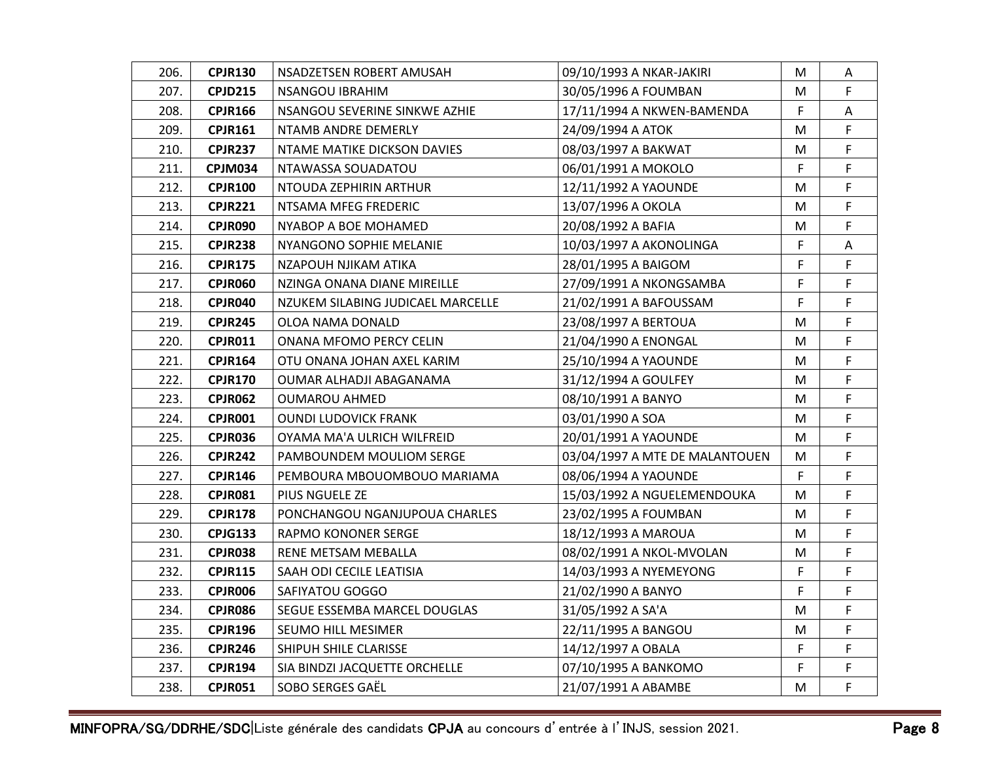| 206. | <b>CPJR130</b> | NSADZETSEN ROBERT AMUSAH          | 09/10/1993 A NKAR-JAKIRI       | M  | A           |
|------|----------------|-----------------------------------|--------------------------------|----|-------------|
| 207. | <b>CPJD215</b> | NSANGOU IBRAHIM                   | 30/05/1996 A FOUMBAN           | M  | F.          |
| 208. | <b>CPJR166</b> | NSANGOU SEVERINE SINKWE AZHIE     | 17/11/1994 A NKWEN-BAMENDA     | F  | Α           |
| 209. | <b>CPJR161</b> | NTAMB ANDRE DEMERLY               | 24/09/1994 A ATOK              | M  | F           |
| 210. | <b>CPJR237</b> | NTAME MATIKE DICKSON DAVIES       | 08/03/1997 A BAKWAT            | М  | F           |
| 211. | <b>CPJM034</b> | NTAWASSA SOUADATOU                | 06/01/1991 A MOKOLO            | F  | F           |
| 212. | <b>CPJR100</b> | NTOUDA ZEPHIRIN ARTHUR            | 12/11/1992 A YAOUNDE           | M  | F           |
| 213. | <b>CPJR221</b> | NTSAMA MFEG FREDERIC              | 13/07/1996 A OKOLA             | M  | F           |
| 214. | CPJR090        | NYABOP A BOE MOHAMED              | 20/08/1992 A BAFIA             | M  | F           |
| 215. | <b>CPJR238</b> | NYANGONO SOPHIE MELANIE           | 10/03/1997 A AKONOLINGA        | F  | Α           |
| 216. | <b>CPJR175</b> | NZAPOUH NJIKAM ATIKA              | 28/01/1995 A BAIGOM            | F. | F           |
| 217. | CPJR060        | NZINGA ONANA DIANE MIREILLE       | 27/09/1991 A NKONGSAMBA        | F  | F           |
| 218. | CPJR040        | NZUKEM SILABING JUDICAEL MARCELLE | 21/02/1991 A BAFOUSSAM         | F  | F.          |
| 219. | <b>CPJR245</b> | OLOA NAMA DONALD                  | 23/08/1997 A BERTOUA           | M  | F           |
| 220. | <b>CPJR011</b> | ONANA MFOMO PERCY CELIN           | 21/04/1990 A ENONGAL           | M  | F.          |
| 221. | <b>CPJR164</b> | OTU ONANA JOHAN AXEL KARIM        | 25/10/1994 A YAOUNDE           | M  | F           |
| 222. | <b>CPJR170</b> | OUMAR ALHADJI ABAGANAMA           | 31/12/1994 A GOULFEY           | M  | F           |
| 223. | <b>CPJR062</b> | OUMAROU AHMED                     | 08/10/1991 A BANYO             | M  | F           |
| 224. | CPJR001        | <b>OUNDI LUDOVICK FRANK</b>       | 03/01/1990 A SOA               | M  | F.          |
| 225. | CPJR036        | OYAMA MA'A ULRICH WILFREID        | 20/01/1991 A YAOUNDE           | M  | F           |
| 226. | <b>CPJR242</b> | PAMBOUNDEM MOULIOM SERGE          | 03/04/1997 A MTE DE MALANTOUEN | М  | F           |
| 227. | <b>CPJR146</b> | PEMBOURA MBOUOMBOUO MARIAMA       | 08/06/1994 A YAOUNDE           | F  | F           |
| 228. | CPJR081        | PIUS NGUELE ZE                    | 15/03/1992 A NGUELEMENDOUKA    | M  | F           |
| 229. | <b>CPJR178</b> | PONCHANGOU NGANJUPOUA CHARLES     | 23/02/1995 A FOUMBAN           | M  | F           |
| 230. | <b>CPJG133</b> | RAPMO KONONER SERGE               | 18/12/1993 A MAROUA            | M  | F.          |
| 231. | CPJR038        | RENE METSAM MEBALLA               | 08/02/1991 A NKOL-MVOLAN       | M  | F.          |
| 232. | <b>CPJR115</b> | SAAH ODI CECILE LEATISIA          | 14/03/1993 A NYEMEYONG         | F  | F.          |
| 233. | <b>CPJR006</b> | SAFIYATOU GOGGO                   | 21/02/1990 A BANYO             | F  | F           |
| 234. | CPJR086        | SEGUE ESSEMBA MARCEL DOUGLAS      | 31/05/1992 A SA'A              | M  | F           |
| 235. | <b>CPJR196</b> | SEUMO HILL MESIMER                | 22/11/1995 A BANGOU            | M  | F.          |
| 236. | <b>CPJR246</b> | SHIPUH SHILE CLARISSE             | 14/12/1997 A OBALA             | F  | F           |
| 237. | <b>CPJR194</b> | SIA BINDZI JACQUETTE ORCHELLE     | 07/10/1995 A BANKOMO           | F  | F           |
| 238. | <b>CPJR051</b> | SOBO SERGES GAËL                  | 21/07/1991 A ABAMBE            | M  | $\mathsf F$ |